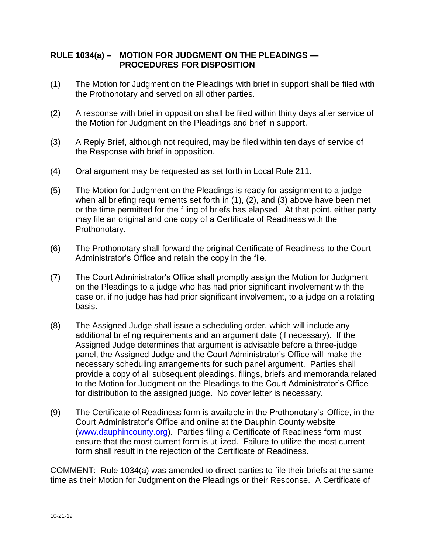## **RULE 1034(a) – MOTION FOR JUDGMENT ON THE PLEADINGS — PROCEDURES FOR DISPOSITION**

- (1) The Motion for Judgment on the Pleadings with brief in support shall be filed with the Prothonotary and served on all other parties.
- (2) A response with brief in opposition shall be filed within thirty days after service of the Motion for Judgment on the Pleadings and brief in support.
- (3) A Reply Brief, although not required, may be filed within ten days of service of the Response with brief in opposition.
- (4) Oral argument may be requested as set forth in Local Rule 211.
- (5) The Motion for Judgment on the Pleadings is ready for assignment to a judge when all briefing requirements set forth in (1), (2), and (3) above have been met or the time permitted for the filing of briefs has elapsed. At that point, either party may file an original and one copy of a Certificate of Readiness with the Prothonotary.
- (6) The Prothonotary shall forward the original Certificate of Readiness to the Court Administrator's Office and retain the copy in the file.
- (7) The Court Administrator's Office shall promptly assign the Motion for Judgment on the Pleadings to a judge who has had prior significant involvement with the case or, if no judge has had prior significant involvement, to a judge on a rotating basis.
- (8) The Assigned Judge shall issue a scheduling order, which will include any additional briefing requirements and an argument date (if necessary). If the Assigned Judge determines that argument is advisable before a three-judge panel, the Assigned Judge and the Court Administrator's Office will make the necessary scheduling arrangements for such panel argument. Parties shall provide a copy of all subsequent pleadings, filings, briefs and memoranda related to the Motion for Judgment on the Pleadings to the Court Administrator's Office for distribution to the assigned judge. No cover letter is necessary.
- (9) The Certificate of Readiness form is available in the Prothonotary's Office, in the Court Administrator's Office and online at the Dauphin County website [\(www.dauphincounty.org\)](http://www.dauphincounty.org/). Parties filing a Certificate of Readiness form must ensure that the most current form is utilized. Failure to utilize the most current form shall result in the rejection of the Certificate of Readiness.

COMMENT: Rule 1034(a) was amended to direct parties to file their briefs at the same time as their Motion for Judgment on the Pleadings or their Response. A Certificate of